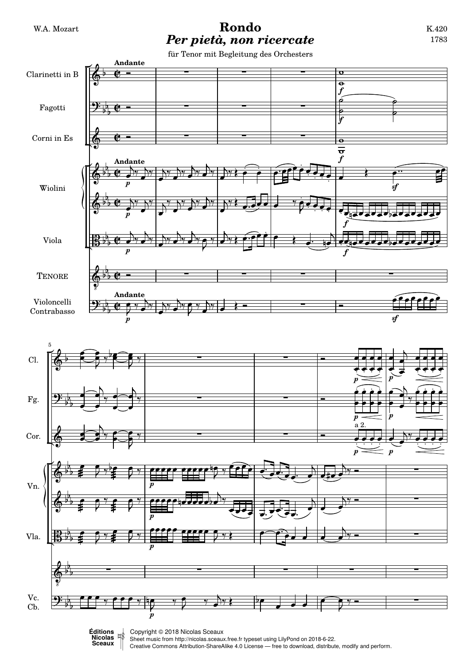## W.A. Mozart **Rondo** *Per pietà, non ricercate*

für Tenor mit Begleitung des Orchesters



**E**<br>
Copyright © 2018 Nicolas Sceaux<br>
Short music from http://picolas.coogu Sheet music from<http://nicolas.sceaux.free.fr> typeset using [LilyPond](http://lilypond.org) on 2018-6-22.

Creative Commons Attribution-ShareAlike 4.0 License — free to download, distribute, modify and perform.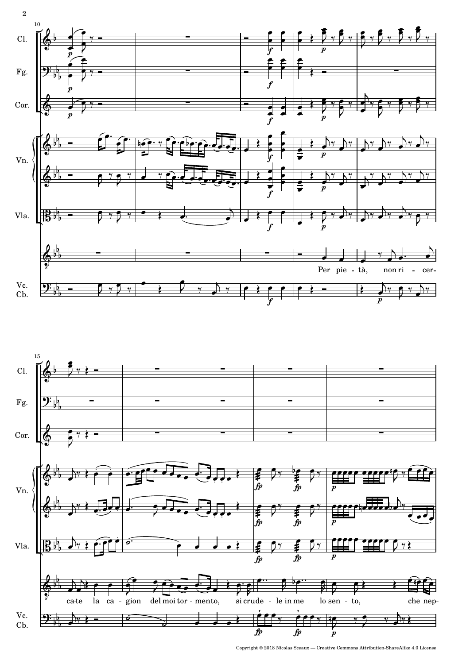

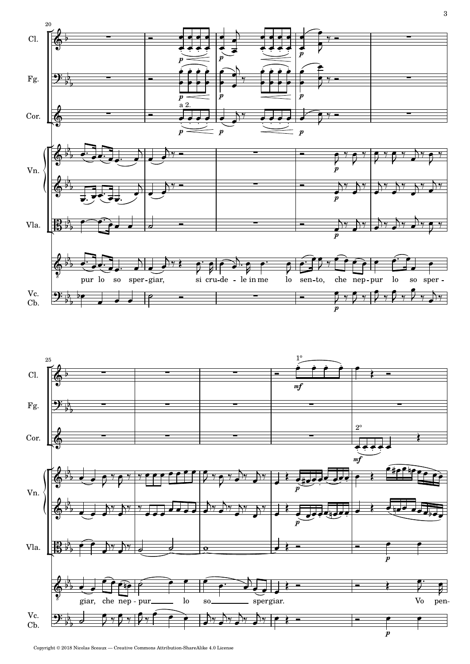

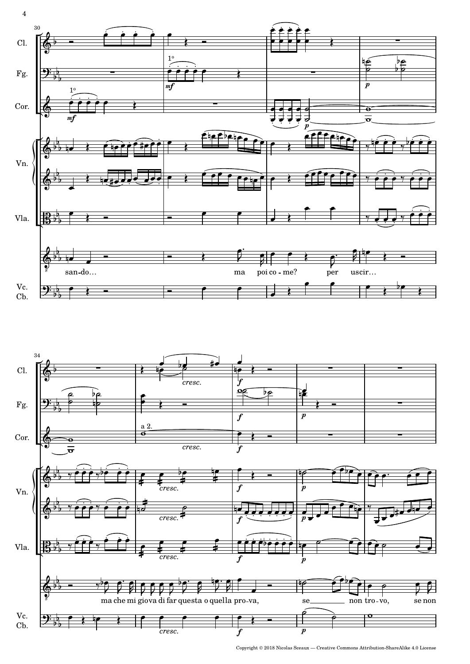



Copyright © 2018 Nicolas Sceaux — Creative Commons Attribution-ShareAlike 4.0 License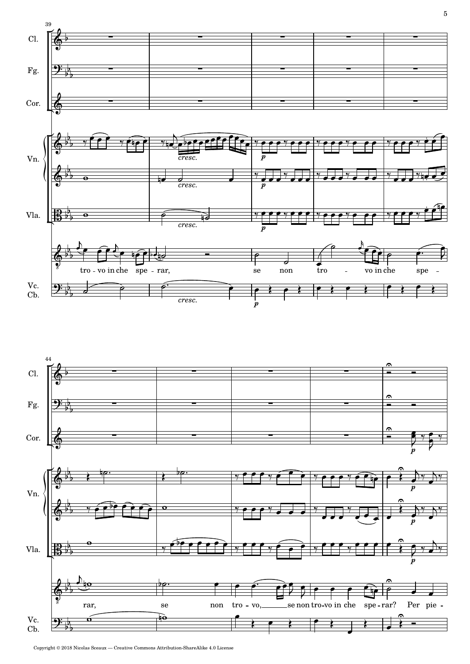



Copyright © 2018 Nicolas Sceaux — Creative Commons Attribution-ShareAlike 4.0 License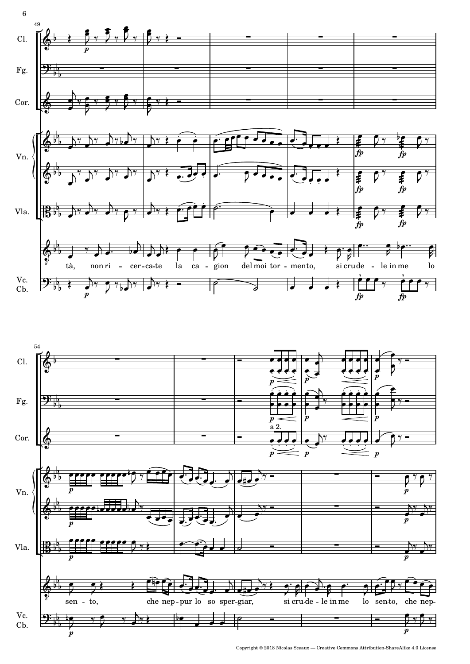



Copyright © 2018 Nicolas Sceaux — Creative Commons Attribution-ShareAlike 4.0 License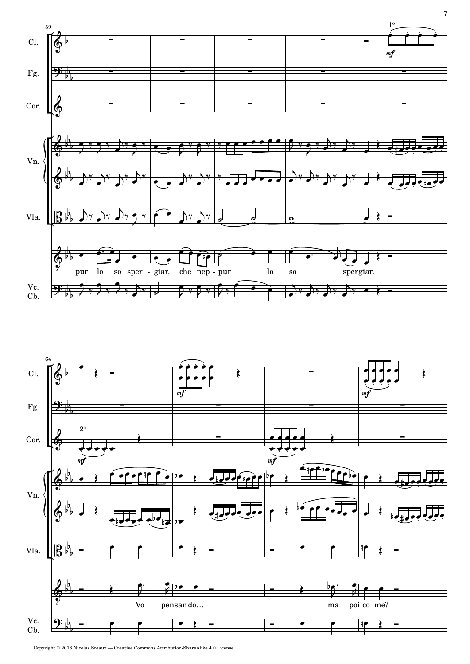



Copyright © 2018 Nicolas Sceaux — Creative Commons Attribution-ShareAlike 4.0 License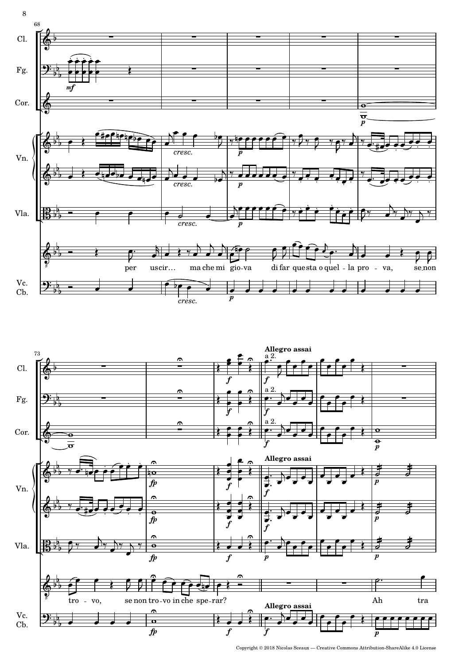



Copyright © 2018 Nicolas Sceaux — Creative Commons Attribution-ShareAlike 4.0 License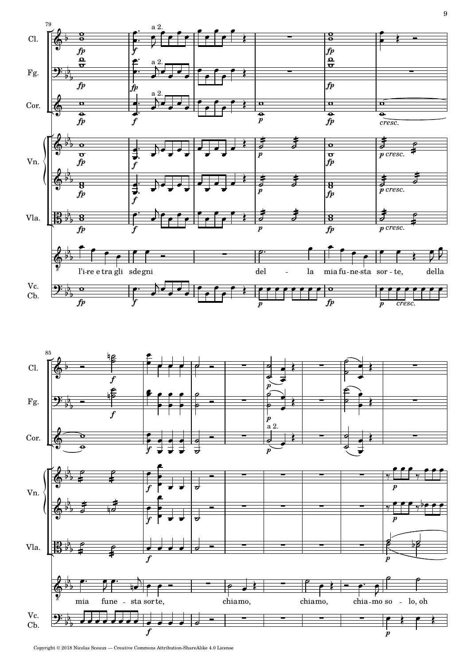

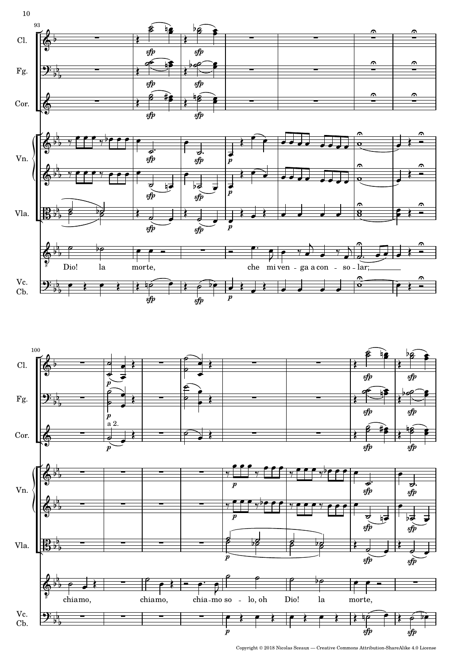

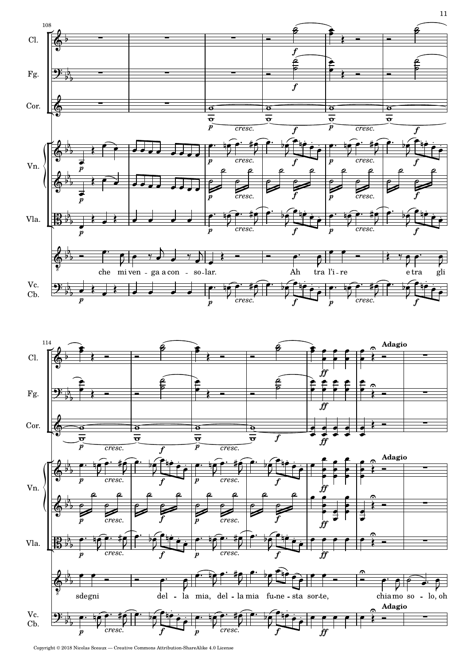

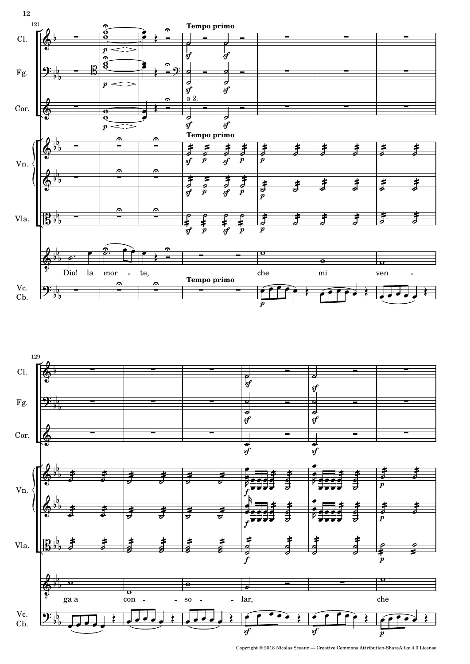

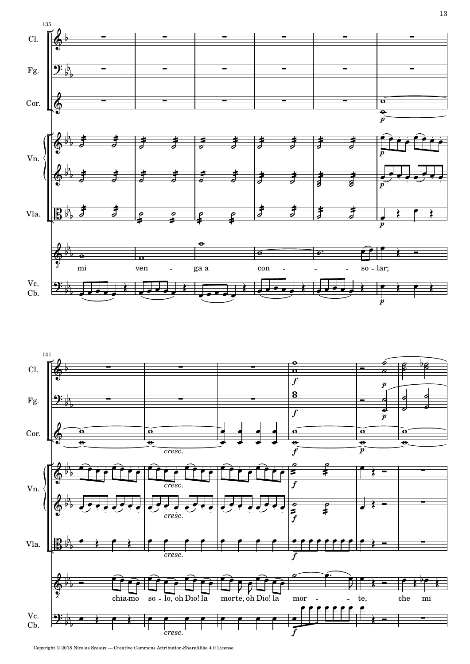



Copyright © 2018 Nicolas Sceaux — Creative Commons Attribution-ShareAlike 4.0 License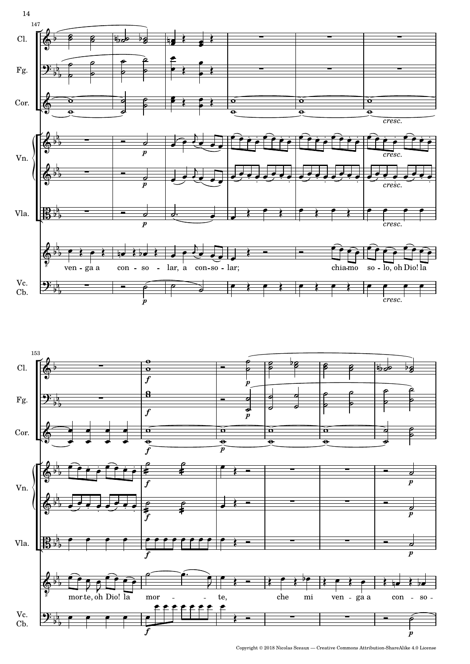